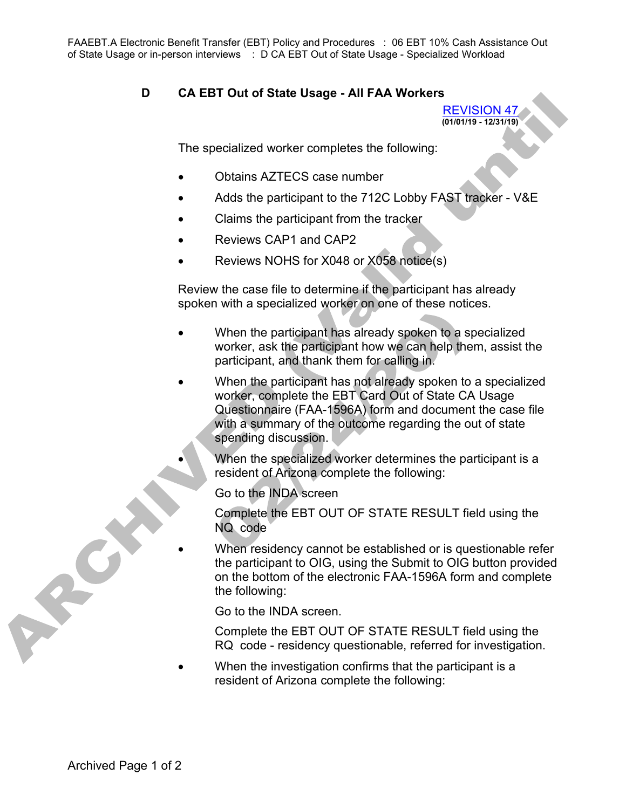FAAEBT.A Electronic Benefit Transfer (EBT) Policy and Procedures : 06 EBT 10% Cash Assistance Out of State Usage or in-person interviews : D CA EBT Out of State Usage - Specialized Workload

## **D CA EBT Out of State Usage - All FAA Workers**

REVISION 47 **(01/01/19 - 12/31/19)**

The specialized worker completes the following:

- Obtains AZTECS case number
- Adds the participant to the 712C Lobby FAST tracker V&E
- Claims the participant from the tracker
- Reviews CAP1 and CAP2
- Reviews NOHS for X048 or X058 notice(s)

Review the case file to determine if the participant has already spoken with a specialized worker on one of these notices.

- When the participant has already spoken to a specialized worker, ask the participant how we can help them, assist the participant, and thank them for calling in.
- When the participant has not already spoken to a specialized worker, complete the EBT Card Out of State CA Usage Questionnaire (FAA-1596A) form and document the case file with a summary of the outcome regarding the out of state spending discussion.

• When the specialized worker determines the participant is a resident of Arizona complete the following:

Go to the INDA screen

Complete the EBT OUT OF STATE RESULT field using the NQ code

When residency cannot be established or is questionable refer the participant to OIG, using the Submit to OIG button provided on the bottom of the electronic FAA-1596A form and complete the following:

Go to the INDA screen.

Complete the EBT OUT OF STATE RESULT field using the RQ code - residency questionable, referred for investigation.

When the investigation confirms that the participant is a resident of Arizona complete the following:

A PON